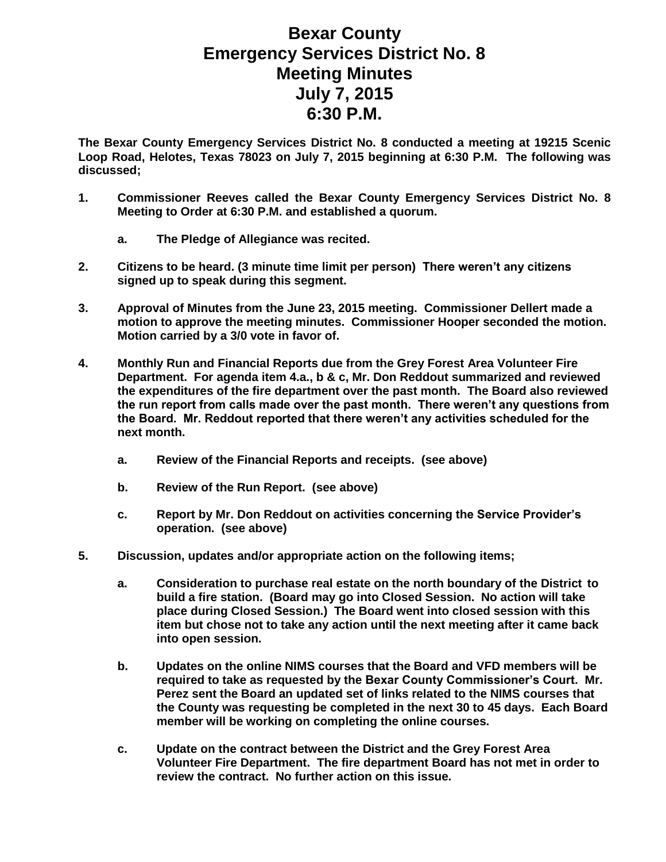## **Bexar County Emergency Services District No. 8 Meeting Minutes July 7, 2015 6:30 P.M.**

**The Bexar County Emergency Services District No. 8 conducted a meeting at 19215 Scenic Loop Road, Helotes, Texas 78023 on July 7, 2015 beginning at 6:30 P.M. The following was discussed;**

- **1. Commissioner Reeves called the Bexar County Emergency Services District No. 8 Meeting to Order at 6:30 P.M. and established a quorum.** 
	- **a. The Pledge of Allegiance was recited.**
- **2. Citizens to be heard. (3 minute time limit per person) There weren't any citizens signed up to speak during this segment.**
- **3. Approval of Minutes from the June 23, 2015 meeting. Commissioner Dellert made a motion to approve the meeting minutes. Commissioner Hooper seconded the motion. Motion carried by a 3/0 vote in favor of.**
- **4. Monthly Run and Financial Reports due from the Grey Forest Area Volunteer Fire Department. For agenda item 4.a., b & c, Mr. Don Reddout summarized and reviewed the expenditures of the fire department over the past month. The Board also reviewed the run report from calls made over the past month. There weren't any questions from the Board. Mr. Reddout reported that there weren't any activities scheduled for the next month.**
	- **a. Review of the Financial Reports and receipts. (see above)**
	- **b. Review of the Run Report. (see above)**
	- **c. Report by Mr. Don Reddout on activities concerning the Service Provider's operation. (see above)**
- **5. Discussion, updates and/or appropriate action on the following items;**
	- **a. Consideration to purchase real estate on the north boundary of the District to build a fire station. (Board may go into Closed Session. No action will take place during Closed Session.) The Board went into closed session with this item but chose not to take any action until the next meeting after it came back into open session.**
	- **b. Updates on the online NIMS courses that the Board and VFD members will be required to take as requested by the Bexar County Commissioner's Court. Mr. Perez sent the Board an updated set of links related to the NIMS courses that the County was requesting be completed in the next 30 to 45 days. Each Board member will be working on completing the online courses.**
	- **c. Update on the contract between the District and the Grey Forest Area Volunteer Fire Department. The fire department Board has not met in order to review the contract. No further action on this issue.**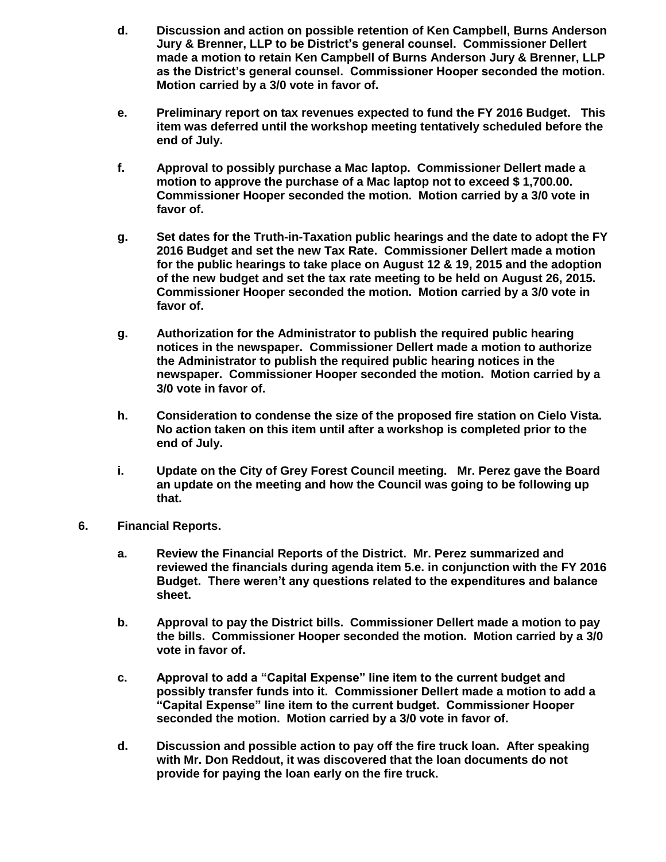- **d. Discussion and action on possible retention of Ken Campbell, Burns Anderson Jury & Brenner, LLP to be District's general counsel. Commissioner Dellert made a motion to retain Ken Campbell of Burns Anderson Jury & Brenner, LLP as the District's general counsel. Commissioner Hooper seconded the motion. Motion carried by a 3/0 vote in favor of.**
- **e. Preliminary report on tax revenues expected to fund the FY 2016 Budget. This item was deferred until the workshop meeting tentatively scheduled before the end of July.**
- **f. Approval to possibly purchase a Mac laptop. Commissioner Dellert made a motion to approve the purchase of a Mac laptop not to exceed \$ 1,700.00. Commissioner Hooper seconded the motion. Motion carried by a 3/0 vote in favor of.**
- **g. Set dates for the Truth-in-Taxation public hearings and the date to adopt the FY 2016 Budget and set the new Tax Rate. Commissioner Dellert made a motion for the public hearings to take place on August 12 & 19, 2015 and the adoption of the new budget and set the tax rate meeting to be held on August 26, 2015. Commissioner Hooper seconded the motion. Motion carried by a 3/0 vote in favor of.**
- **g. Authorization for the Administrator to publish the required public hearing notices in the newspaper. Commissioner Dellert made a motion to authorize the Administrator to publish the required public hearing notices in the newspaper. Commissioner Hooper seconded the motion. Motion carried by a 3/0 vote in favor of.**
- **h. Consideration to condense the size of the proposed fire station on Cielo Vista. No action taken on this item until after a workshop is completed prior to the end of July.**
- **i. Update on the City of Grey Forest Council meeting. Mr. Perez gave the Board an update on the meeting and how the Council was going to be following up that.**
- **6. Financial Reports.**
	- **a. Review the Financial Reports of the District. Mr. Perez summarized and reviewed the financials during agenda item 5.e. in conjunction with the FY 2016 Budget. There weren't any questions related to the expenditures and balance sheet.**
	- **b. Approval to pay the District bills. Commissioner Dellert made a motion to pay the bills. Commissioner Hooper seconded the motion. Motion carried by a 3/0 vote in favor of.**
	- **c. Approval to add a "Capital Expense" line item to the current budget and possibly transfer funds into it. Commissioner Dellert made a motion to add a "Capital Expense" line item to the current budget. Commissioner Hooper seconded the motion. Motion carried by a 3/0 vote in favor of.**
	- **d. Discussion and possible action to pay off the fire truck loan. After speaking with Mr. Don Reddout, it was discovered that the loan documents do not provide for paying the loan early on the fire truck.**